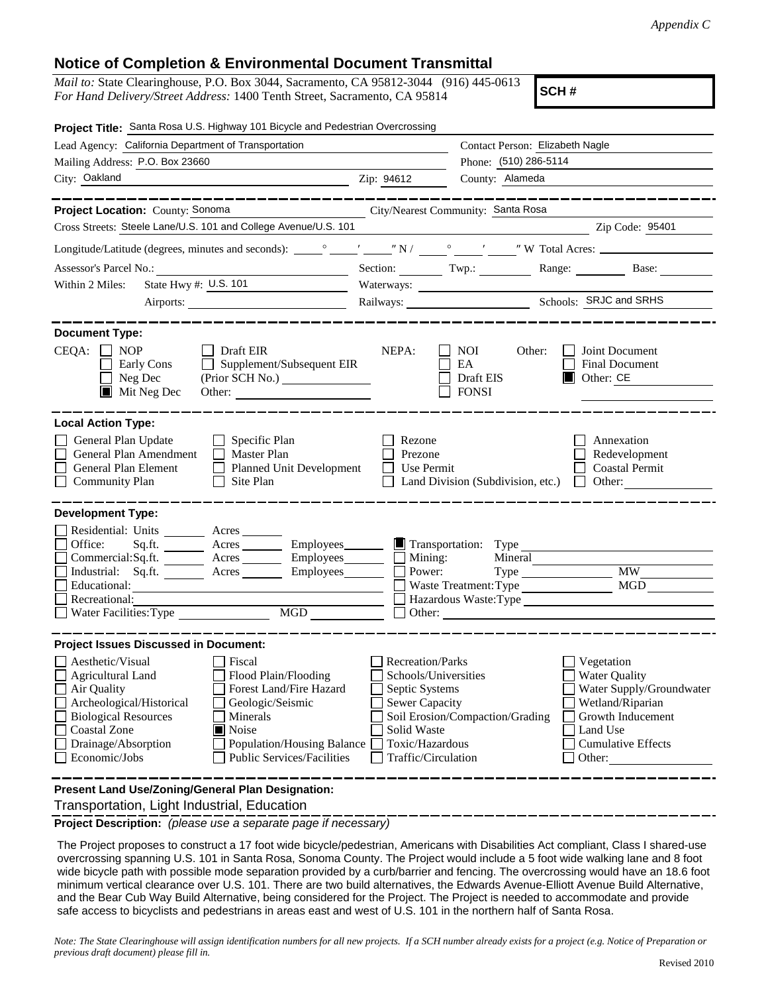## **Notice of Completion & Environmental Document Transmittal**

*Mail to:* State Clearinghouse, P.O. Box 3044, Sacramento, CA 95812-3044 (916) 445-0613 *For Hand Delivery/Street Address:* 1400 Tenth Street, Sacramento, CA 95814

**SCH #**

| Project Title: Santa Rosa U.S. Highway 101 Bicycle and Pedestrian Overcrossing                                                                                                                                                                                                                                                                                                                     |                                                                                                                                              |                                                                                                  |                                                                                                                                                            |
|----------------------------------------------------------------------------------------------------------------------------------------------------------------------------------------------------------------------------------------------------------------------------------------------------------------------------------------------------------------------------------------------------|----------------------------------------------------------------------------------------------------------------------------------------------|--------------------------------------------------------------------------------------------------|------------------------------------------------------------------------------------------------------------------------------------------------------------|
| Lead Agency: California Department of Transportation                                                                                                                                                                                                                                                                                                                                               |                                                                                                                                              | Contact Person: Elizabeth Nagle                                                                  |                                                                                                                                                            |
| Mailing Address: P.O. Box 23660                                                                                                                                                                                                                                                                                                                                                                    |                                                                                                                                              | Phone: (510) 286-5114                                                                            |                                                                                                                                                            |
| City: Oakland                                                                                                                                                                                                                                                                                                                                                                                      | Zip: 94612                                                                                                                                   | County: Alameda                                                                                  |                                                                                                                                                            |
| . __ __ __ __ __ __ __ _                                                                                                                                                                                                                                                                                                                                                                           |                                                                                                                                              |                                                                                                  |                                                                                                                                                            |
| Project Location: County: Sonoma                                                                                                                                                                                                                                                                                                                                                                   | City/Nearest Community: Santa Rosa                                                                                                           |                                                                                                  |                                                                                                                                                            |
| Cross Streets: Steele Lane/U.S. 101 and College Avenue/U.S. 101                                                                                                                                                                                                                                                                                                                                    |                                                                                                                                              | <u> 1989 - Johann Barn, amerikansk politiker (</u>                                               | Zip Code: 95401                                                                                                                                            |
|                                                                                                                                                                                                                                                                                                                                                                                                    |                                                                                                                                              |                                                                                                  |                                                                                                                                                            |
|                                                                                                                                                                                                                                                                                                                                                                                                    |                                                                                                                                              |                                                                                                  | Section: Twp.: Range: Base:                                                                                                                                |
| State Hwy #: U.S. 101<br>Within 2 Miles:                                                                                                                                                                                                                                                                                                                                                           |                                                                                                                                              | Waterways:                                                                                       |                                                                                                                                                            |
|                                                                                                                                                                                                                                                                                                                                                                                                    |                                                                                                                                              |                                                                                                  |                                                                                                                                                            |
| <b>Document Type:</b><br>$CEQA: \Box NP$<br>$\Box$ Draft EIR<br>$\Box$ Supplement/Subsequent EIR<br>Early Cons<br>Neg Dec<br>(Prior SCH No.)<br>$\blacksquare$<br>$\blacksquare$ Mit Neg Dec<br>Other:                                                                                                                                                                                             | NEPA:                                                                                                                                        | NOI<br>Other:<br>EA<br>Draft EIS<br><b>FONSI</b>                                                 | Joint Document<br>Final Document<br>$\Box$ Other: CE                                                                                                       |
| <b>Local Action Type:</b><br>General Plan Update<br>$\Box$ Specific Plan<br>General Plan Amendment<br>Master Plan<br>General Plan Element<br>Planned Unit Development<br><b>Community Plan</b><br>Site Plan<br>$\perp$                                                                                                                                                                             | Rezone<br>Prezone<br>Use Permit                                                                                                              | Land Division (Subdivision, etc.) $\Box$ Other:                                                  | Annexation<br>Redevelopment<br><b>Coastal Permit</b>                                                                                                       |
| <b>Development Type:</b><br>Residential: Units ________ Acres _______<br>Acres Employees<br>Office:<br>Sq.fit.<br>Commercial:Sq.ft. ________ Acres _________ Employees_______<br>Acres Employees<br>Industrial: Sq.ft.<br>Educational:<br>Recreational:<br>$\underline{\text{MGD}}$<br>Water Facilities: Type                                                                                      | $\Box$ Mining:<br>Power:                                                                                                                     | Transportation: Type<br>Mineral<br>$Type \_\_$<br>Waste Treatment: Type<br>Hazardous Waste: Type | <b>MW</b><br><b>MGD</b>                                                                                                                                    |
| <b>Project Issues Discussed in Document:</b><br>Aesthetic/Visual<br>  Fiscal<br>Agricultural Land<br>Flood Plain/Flooding<br>Forest Land/Fire Hazard<br>Air Quality<br>Archeological/Historical<br>Geologic/Seismic<br><b>Biological Resources</b><br>Minerals<br>Noise<br>Coastal Zone<br>Drainage/Absorption<br>Population/Housing Balance<br>Economic/Jobs<br><b>Public Services/Facilities</b> | Recreation/Parks<br>Schools/Universities<br>Septic Systems<br><b>Sewer Capacity</b><br>Solid Waste<br>Toxic/Hazardous<br>Traffic/Circulation | Soil Erosion/Compaction/Grading                                                                  | Vegetation<br><b>Water Quality</b><br>Water Supply/Groundwater<br>Wetland/Riparian<br>Growth Inducement<br>Land Use<br><b>Cumulative Effects</b><br>Other: |
| Present Land Use/Zoning/General Plan Designation:                                                                                                                                                                                                                                                                                                                                                  |                                                                                                                                              |                                                                                                  |                                                                                                                                                            |

Transportation, Light Industrial, Education

**Project Description:** *(please use a separate page if necessary)*

 The Project proposes to construct a 17 foot wide bicycle/pedestrian, Americans with Disabilities Act compliant, Class I shared-use overcrossing spanning U.S. 101 in Santa Rosa, Sonoma County. The Project would include a 5 foot wide walking lane and 8 foot wide bicycle path with possible mode separation provided by a curb/barrier and fencing. The overcrossing would have an 18.6 foot minimum vertical clearance over U.S. 101. There are two build alternatives, the Edwards Avenue-Elliott Avenue Build Alternative, and the Bear Cub Way Build Alternative, being considered for the Project. The Project is needed to accommodate and provide safe access to bicyclists and pedestrians in areas east and west of U.S. 101 in the northern half of Santa Rosa.

*Note: The State Clearinghouse will assign identification numbers for all new projects. If a SCH number already exists for a project (e.g. Notice of Preparation or previous draft document) please fill in.*